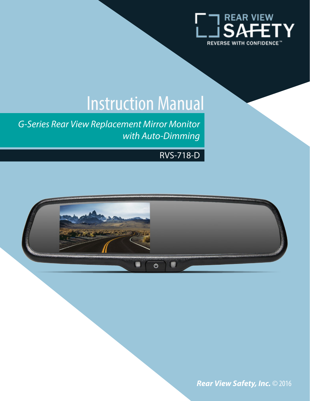

# Instruction Manual

*G-Series Rear View Replacement Mirror Monitor with Auto-Dimming*

#### RVS-718-D



*Rear View Safety, Inc.* © 2016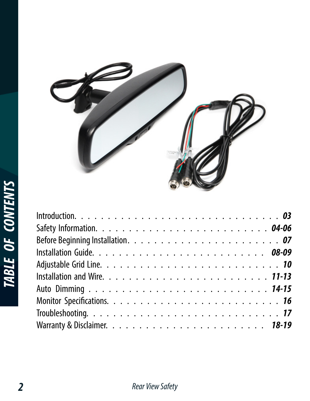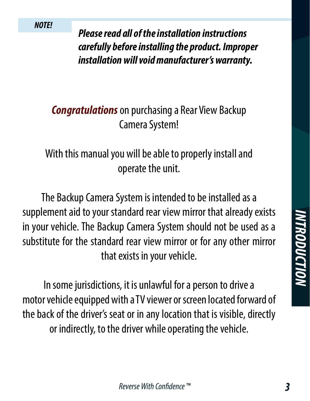*Please read all of the installation instructions carefully before installing the product. Improper installation will void manufacturer's warranty.*

# *Congratulations* on purchasing a Rear View Backup Camera System!

## With this manual you will be able to properly install and operate the unit.

The Backup Camera System is intended to be installed as a supplement aid to your standard rear view mirror that already exists in your vehicle. The Backup Camera System should not be used as a substitute for the standard rear view mirror or for any other mirror that exists in your vehicle.

In some jurisdictions, it is unlawful for a person to drive a motor vehicle equipped with a TV viewer or screen located forward of the back of the driver's seat or in any location that is visible, directly or indirectly, to the driver while operating the vehicle.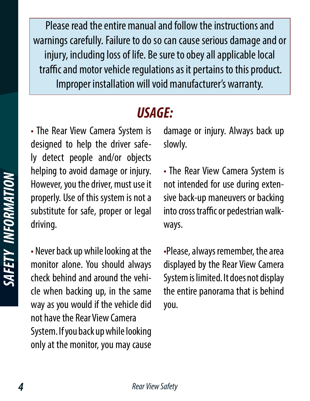Please read the entire manual and follow the instructions and warnings carefully. Failure to do so can cause serious damage and or injury, including loss of life. Be sure to obey all applicable local traffic and motor vehicle regulations as it pertains to this product. Improper installation will void manufacturer's warranty.

# *USAGE:*

• The Rear View Camera System is designed to help the driver safely detect people and/or objects helping to avoid damage or injury. However, you the driver, must use it properly. Use of this system is not a substitute for safe, proper or legal driving.

• Never back up while looking at the monitor alone. You should always check behind and around the vehicle when backing up, in the same way as you would if the vehicle did not have the Rear View Camera System. If you back up while looking only at the monitor, you may cause

damage or injury. Always back up slowly.

• The Rear View Camera System is not intended for use during extensive back-up maneuvers or backing into cross traffic or pedestrian walkways.

•Please, always remember, the area displayed by the Rear View Camera System is limited. It does not display the entire panorama that is behind you.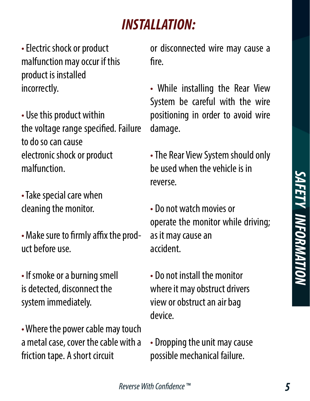# *INSTALLATION:*

• Electric shock or product malfunction may occur if this product is installed incorrectly.

• Use this product within the voltage range specified. Failure to do so can cause electronic shock or product malfunction.

• Take special care when cleaning the monitor.

• Make sure to firmly affix the product before use.

• If smoke or a burning smell is detected, disconnect the system immediately.

• Where the power cable may touch a metal case, cover the cable with a friction tape. A short circuit

or disconnected wire may cause a fire.

• While installing the Rear View System be careful with the wire positioning in order to avoid wire damage.

• The Rear View System should only be used when the vehicle is in reverse.

• Do not watch movies or operate the monitor while driving; as it may cause an accident.

• Do not install the monitor where it may obstruct drivers view or obstruct an air bag device.

• Dropping the unit may cause possible mechanical failure.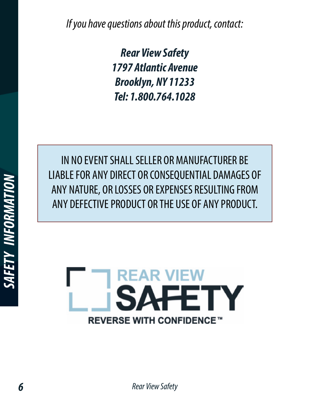*If you have questions about this product, contact:*

*Rear View Safety 1797 Atlantic Avenue Brooklyn, NY 11233 Tel: 1.800.764.1028*

IN NO EVENT SHALL SELLER OR MANUFACTURER BE LIABLE FOR ANY DIRECT OR CONSEQUENTIAL DAMAGES OF ANY NATURE, OR LOSSES OR EXPENSES RESULTING FROM ANY DEFECTIVE PRODUCT OR THE USE OF ANY PRODUCT.

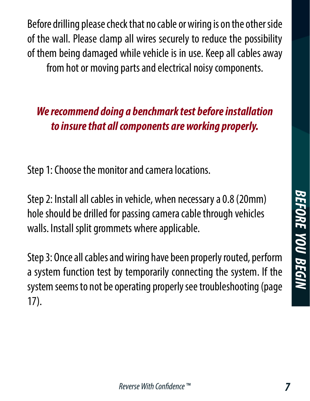BEFORE YOU BEGIN *BEFORE YOU BEGIN*

Before drilling please check that no cable or wiring is on the other side of the wall. Please clamp all wires securely to reduce the possibility of them being damaged while vehicle is in use. Keep all cables away from hot or moving parts and electrical noisy components.

# *We recommend doing a benchmark test before installation to insure that all components are working properly.*

Step 1: Choose the monitor and camera locations.

Step 2: Install all cables in vehicle, when necessary a 0.8 (20mm) hole should be drilled for passing camera cable through vehicles walls. Install split grommets where applicable.

Step 3: Once all cables and wiring have been properly routed, perform a system function test by temporarily connecting the system. If the system seems to not be operating properly see troubleshooting (page 17).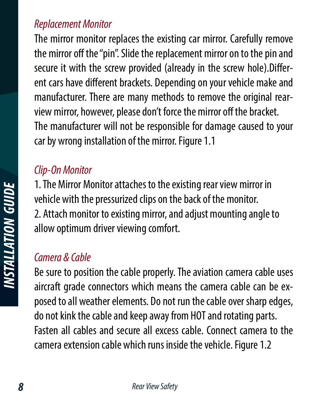#### *Replacement Monitor*

The mirror monitor replaces the existing car mirror. Carefully remove the mirror off the "pin". Slide the replacement mirror on to the pin and secure it with the screw provided (already in the screw hole).Different cars have different brackets. Depending on your vehicle make and manufacturer. There are many methods to remove the original rearview mirror, however, please don't force the mirror off the bracket. The manufacturer will not be responsible for damage caused to your car by wrong installation of the mirror. Figure 1.1

#### *Clip-On Monitor*

1. The Mirror Monitor attaches to the existing rear view mirror in vehicle with the pressurized clips on the back of the monitor. 2. Attach monitor to existing mirror, and adjust mounting angle to allow optimum driver viewing comfort.

#### *Camera & Cable*

Be sure to position the cable properly. The aviation camera cable uses aircraft grade connectors which means the camera cable can be exposed to all weather elements. Do not run the cable over sharp edges, do not kink the cable and keep away from HOT and rotating parts. Fasten all cables and secure all excess cable. Connect camera to the camera extension cable which runs inside the vehicle. Figure 1.2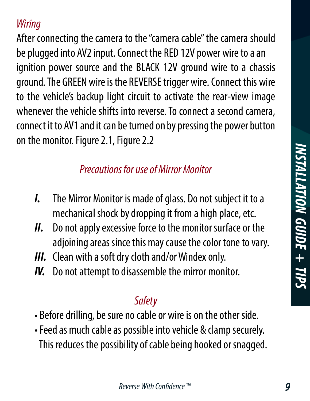After connecting the camera to the "camera cable" the camera should be plugged into AV2 input. Connect the RED 12V power wire to a an ignition power source and the BLACK 12V ground wire to a chassis ground. The GREEN wire is the REVERSE trigger wire. Connect this wire to the vehicle's backup light circuit to activate the rear-view image whenever the vehicle shifts into reverse. To connect a second camera, connect it to AV1 and it can be turned on by pressing the power button on the monitor. Figure 2.1, Figure 2.2

# *Precautions for use of Mirror Monitor*

- *I.* The Mirror Monitor is made of glass. Do not subject it to a mechanical shock by dropping it from a high place, etc.
- *II.* Do not apply excessive force to the monitor surface or the adjoining areas since this may cause the color tone to vary.
- *III.* Clean with a soft dry cloth and/or Windex only.
- *IV.* Do not attempt to disassemble the mirror monitor.

## *Safety*

- Before drilling, be sure no cable or wire is on the other side.
- Feed as much cable as possible into vehicle & clamp securely. This reduces the possibility of cable being hooked or snagged.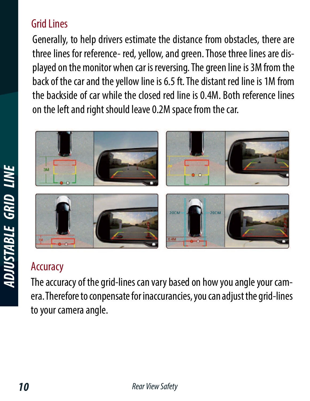## Grid Lines

Generally, to help drivers estimate the distance from obstacles, there are three lines for reference- red, yellow, and green. Those three lines are displayed on the monitor when car is reversing. The green line is 3M from the back of the car and the yellow line is 6.5 ft. The distant red line is 1M from the backside of car while the closed red line is 0.4M. Both reference lines on the left and right should leave 0.2M space from the car.



# **Accuracy**

The accuracy of the grid-lines can vary based on how you angle your camera. Therefore to conpensate for inaccurancies, you can adjust the grid-lines to your camera angle.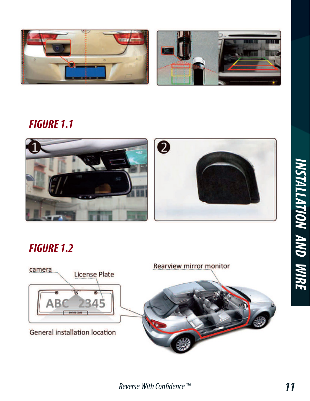



#### *FIGURE 1.1*



## *FIGURE 1.2*

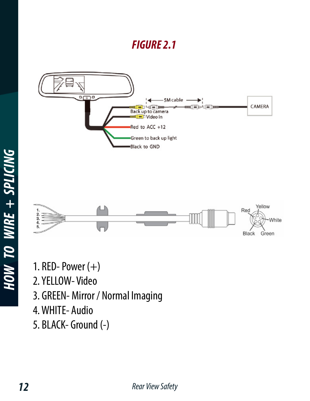#### *FIGURE 2.1*



Black

Green

- 1. RED-Power $(+)$
- 2. YELLOW- Video
- 3. GREEN- Mirror / Normal Imaging
- 4. WHITE- Audio
- 5. BLACK- Ground (-)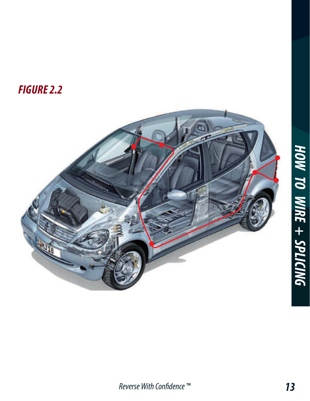## *FIGURE 2.2*

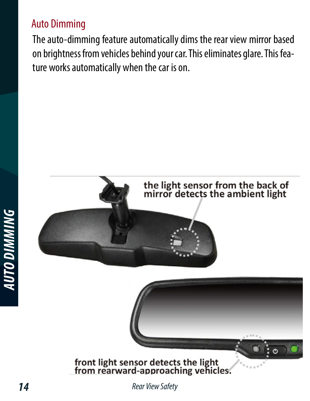#### Auto Dimming

The auto-dimming feature automatically dims the rear view mirror based on brightness from vehicles behind your car. This eliminates glare. This feature works automatically when the car is on.



*AUTO DIMMING*

**AUTO DIMMING**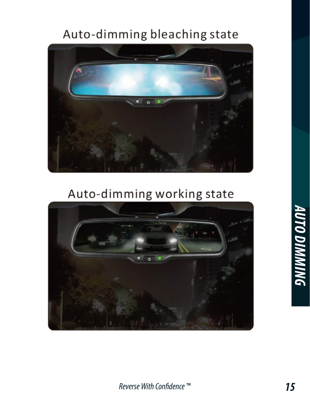# Auto-dimming bleaching state



# Auto-dimming working state

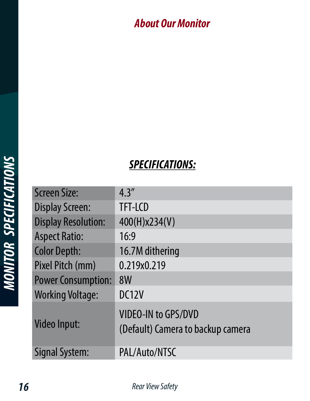#### *About Our Monitor*

| <b>SPECIFICATIONS:</b> |  |
|------------------------|--|
|                        |  |

| <b>Screen Size:</b>        | 4.3''                                                           |
|----------------------------|-----------------------------------------------------------------|
| <b>Display Screen:</b>     | TFT-LCD                                                         |
| <b>Display Resolution:</b> | 400(H)x234(V)                                                   |
| <b>Aspect Ratio:</b>       | 16:9                                                            |
| <b>Color Depth:</b>        | 16.7M dithering                                                 |
| Pixel Pitch (mm)           | 0.219x0.219                                                     |
| <b>Power Consumption:</b>  | 8W                                                              |
| <b>Working Voltage:</b>    | DC12V                                                           |
| <b>Video Input:</b>        | <b>VIDEO-IN to GPS/DVD</b><br>(Default) Camera to backup camera |
| Signal System:             | PAL/Auto/NTSC                                                   |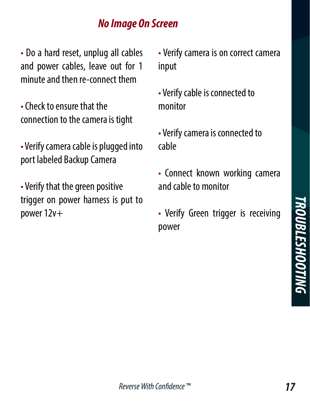#### *No Image On Screen*

• Do a hard reset, unplug all cables and power cables, leave out for 1 minute and then re-connect them

- Check to ensure that the connection to the camera is tight
- Verify camera cable is plugged into port labeled Backup Camera

• Verify that the green positive trigger on power harness is put to power 12v+

• Verify camera is on correct camera input

- Verify cable is connected to monitor
- Verify camera is connected to cable
- Connect known working camera and cable to monitor
- Verify Green trigger is receiving power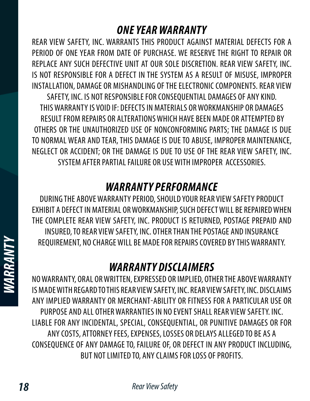#### *ONE YEAR WARRANTY*

REAR VIEW SAFETY, INC. WARRANTS THIS PRODUCT AGAINST MATERIAL DEFECTS FOR A PERIOD OF ONE YEAR FROM DATE OF PURCHASE. WE RESERVE THE RIGHT TO REPAIR OR REPLACE ANY SUCH DEFECTIVE UNIT AT OUR SOLE DISCRETION. REAR VIEW SAFETY, INC. IS NOT RESPONSIBLE FOR A DEFECT IN THE SYSTEM AS A RESULT OF MISUSE, IMPROPER INSTALLATION, DAMAGE OR MISHANDLING OF THE ELECTRONIC COMPONENTS. REAR VIEW SAFETY, INC. IS NOT RESPONSIBLE FOR CONSEQUENTIAL DAMAGES OF ANY KIND. THIS WARRANTY IS VOID IF: DEFECTS IN MATERIALS OR WORKMANSHIP OR DAMAGES RESULT FROM REPAIRS OR ALTERATIONS WHICH HAVE BEEN MADE OR ATTEMPTED BY OTHERS OR THE UNAUTHORIZED USE OF NONCONFORMING PARTS; THE DAMAGE IS DUE TO NORMAL WEAR AND TEAR, THIS DAMAGE IS DUE TO ABUSE, IMPROPER MAINTENANCE, NEGLECT OR ACCIDENT; OR THE DAMAGE IS DUE TO USE OF THE REAR VIEW SAFETY, INC. SYSTEM AFTER PARTIAL FAILURE OR USE WITH IMPROPER ACCESSORIES.

#### *WARRANTY PERFORMANCE*

DURING THE ABOVE WARRANTY PERIOD, SHOULD YOUR REAR VIEW SAFETY PRODUCT EXHIBIT A DEFECT IN MATERIAL OR WORKMANSHIP, SUCH DEFECT WILL BE REPAIRED WHEN THE COMPLETE REAR VIEW SAFETY, INC. PRODUCT IS RETURNED, POSTAGE PREPAID AND INSURED, TO REAR VIEW SAFETY, INC. OTHER THAN THE POSTAGE AND INSURANCE REQUIREMENT, NO CHARGE WILL BE MADE FOR REPAIRS COVERED BY THIS WARRANTY.

#### *WARRANTY DISCLAIMERS*

NO WARRANTY, ORAL OR WRITTEN, EXPRESSED OR IMPLIED, OTHER THE ABOVE WARRANTY IS MADE WITH REGARD TO THIS REAR VIEW SAFETY, INC. REAR VIEW SAFETY, INC. DISCLAIMS ANY IMPLIED WARRANTY OR MERCHANT-ABILITY OR FITNESS FOR A PARTICULAR USE OR PURPOSE AND ALL OTHER WARRANTIES IN NO EVENT SHALL REAR VIEW SAFETY. INC. LIABLE FOR ANY INCIDENTAL, SPECIAL, CONSEQUENTIAL, OR PUNITIVE DAMAGES OR FOR ANY COSTS, ATTORNEY FEES, EXPENSES, LOSSES OR DELAYS ALLEGED TO BE AS A CONSEQUENCE OF ANY DAMAGE TO, FAILURE OF, OR DEFECT IN ANY PRODUCT INCLUDING, BUT NOT LIMITED TO, ANY CLAIMS FOR LOSS OF PROFITS.

*WARRANTY*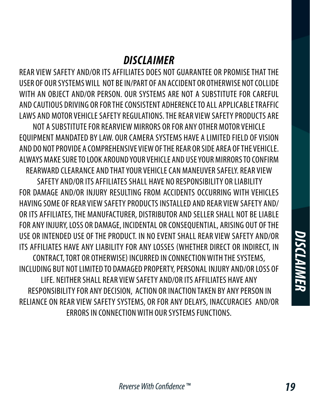#### *DISCLAIMER*

REAR VIEW SAFETY AND/OR ITS AFFILIATES DOES NOT GUARANTEE OR PROMISE THAT THE USER OF OUR SYSTEMS WILL NOT BE IN/PART OF AN ACCIDENT OR OTHERWISE NOT COLLIDE WITH AN OBJECT AND/OR PERSON. OUR SYSTEMS ARE NOT A SUBSTITUTE FOR CAREFUL AND CAUTIOUS DRIVING OR FOR THE CONSISTENT ADHERENCE TO ALL APPLICABLE TRAFFIC LAWS AND MOTOR VEHICLE SAFETY REGULATIONS. THE REAR VIEW SAFETY PRODUCTS ARE

NOT A SUBSTITUTE FOR REARVIEW MIRRORS OR FOR ANY OTHER MOTOR VEHICLE EQUIPMENT MANDATED BY LAW. OUR CAMERA SYSTEMS HAVE A LIMITED FIELD OF VISION AND DO NOT PROVIDE A COMPREHENSIVE VIEW OF THE REAR OR SIDE AREA OF THE VEHICLE. ALWAYS MAKE SURE TO LOOK AROUND YOUR VEHICLE AND USE YOUR MIRRORS TO CONFIRM REARWARD CLEARANCE AND THAT YOUR VEHICLE CAN MANEUVER SAFELY. REAR VIEW

 SAFETY AND/OR ITS AFFILIATES SHALL HAVE NO RESPONSIBILITY OR LIABILITY FOR DAMAGE AND/OR INJURY RESULTING FROM ACCIDENTS OCCURRING WITH VEHICLES HAVING SOME OF REAR VIEW SAFETY PRODUCTS INSTALLED AND REAR VIEW SAFETY AND/ OR ITS AFFILIATES, THE MANUFACTURER, DISTRIBUTOR AND SELLER SHALL NOT BE LIABLE FOR ANY INJURY, LOSS OR DAMAGE, INCIDENTAL OR CONSEQUENTIAL, ARISING OUT OF THE USE OR INTENDED USE OF THE PRODUCT. IN NO EVENT SHALL REAR VIEW SAFETY AND/OR ITS AFFILIATES HAVE ANY LIABILITY FOR ANY LOSSES (WHETHER DIRECT OR INDIRECT, IN CONTRACT, TORT OR OTHERWISE) INCURRED IN CONNECTION WITH THE SYSTEMS, INCLUDING BUT NOT LIMITED TO DAMAGED PROPERTY, PERSONAL INJURY AND/OR LOSS OF LIFE. NEITHER SHALL REAR VIEW SAFETY AND/OR ITS AFFILIATES HAVE ANY RESPONSIBILITY FOR ANY DECISION, ACTION OR INACTION TAKEN BY ANY PERSON IN RELIANCE ON REAR VIEW SAFETY SYSTEMS, OR FOR ANY DELAYS, INACCURACIES AND/OR ERRORS IN CONNECTION WITH OUR SYSTEMS FUNCTIONS.